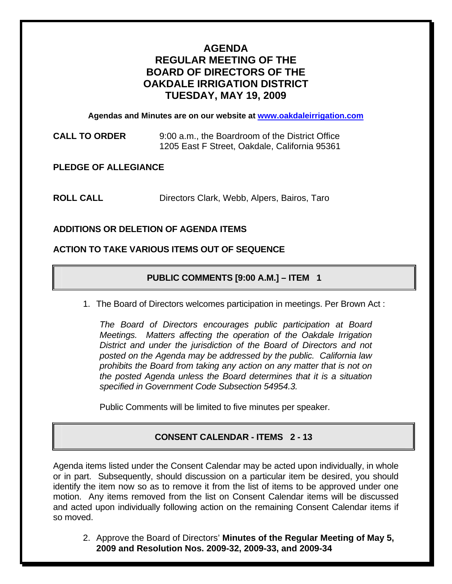# **AGENDA REGULAR MEETING OF THE BOARD OF DIRECTORS OF THE OAKDALE IRRIGATION DISTRICT TUESDAY, MAY 19, 2009**

**Agendas and Minutes are on our website at [www.oakdaleirrigation.com](http://www.oakdaleirrigation.com/)**

**CALL TO ORDER** 9:00 a.m., the Boardroom of the District Office 1205 East F Street, Oakdale, California 95361

**PLEDGE OF ALLEGIANCE** 

**ROLL CALL** Directors Clark, Webb, Alpers, Bairos, Taro

## **ADDITIONS OR DELETION OF AGENDA ITEMS**

### **ACTION TO TAKE VARIOUS ITEMS OUT OF SEQUENCE**

## **PUBLIC COMMENTS [9:00 A.M.] – ITEM 1**

1. The Board of Directors welcomes participation in meetings. Per Brown Act :

*The Board of Directors encourages public participation at Board Meetings. Matters affecting the operation of the Oakdale Irrigation District and under the jurisdiction of the Board of Directors and not posted on the Agenda may be addressed by the public. California law prohibits the Board from taking any action on any matter that is not on the posted Agenda unless the Board determines that it is a situation specified in Government Code Subsection 54954.3.*

Public Comments will be limited to five minutes per speaker.

## **CONSENT CALENDAR - ITEMS 2 - 13**

Agenda items listed under the Consent Calendar may be acted upon individually, in whole or in part. Subsequently, should discussion on a particular item be desired, you should identify the item now so as to remove it from the list of items to be approved under one motion. Any items removed from the list on Consent Calendar items will be discussed and acted upon individually following action on the remaining Consent Calendar items if so moved.

2. Approve the Board of Directors' **Minutes of the Regular Meeting of May 5, 2009 and Resolution Nos. 2009-32, 2009-33, and 2009-34**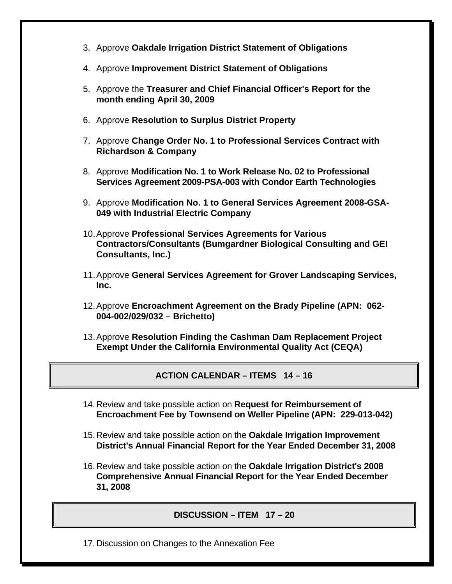- 3. Approve **Oakdale Irrigation District Statement of Obligations**
- 4. Approve **Improvement District Statement of Obligations**
- 5. Approve the **Treasurer and Chief Financial Officer's Report for the month ending April 30, 2009**
- 6. Approve **Resolution to Surplus District Property**
- 7. Approve **Change Order No. 1 to Professional Services Contract with Richardson & Company**
- 8. Approve **Modification No. 1 to Work Release No. 02 to Professional Services Agreement 2009-PSA-003 with Condor Earth Technologies**
- 9. Approve **Modification No. 1 to General Services Agreement 2008-GSA-049 with Industrial Electric Company**
- 10. Approve **Professional Services Agreements for Various Contractors/Consultants (Bumgardner Biological Consulting and GEI Consultants, Inc.)**
- 11. Approve **General Services Agreement for Grover Landscaping Services, Inc.**
- 12. Approve **Encroachment Agreement on the Brady Pipeline (APN: 062- 004-002/029/032 – Brichetto)**
- 13. Approve **Resolution Finding the Cashman Dam Replacement Project Exempt Under the California Environmental Quality Act (CEQA)**

## **ACTION CALENDAR – ITEMS 14 – 16**

- 14. Review and take possible action on **Request for Reimbursement of Encroachment Fee by Townsend on Weller Pipeline (APN: 229-013-042)**
- 15. Review and take possible action on the **Oakdale Irrigation Improvement District's Annual Financial Report for the Year Ended December 31, 2008**
- 16. Review and take possible action on the **Oakdale Irrigation District's 2008 Comprehensive Annual Financial Report for the Year Ended December 31, 2008**

#### **DISCUSSION – ITEM 17 – 20**

17. Discussion on Changes to the Annexation Fee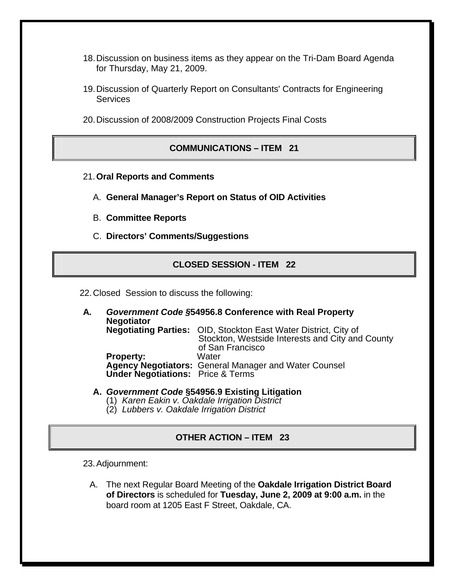- 18. Discussion on business items as they appear on the Tri-Dam Board Agenda for Thursday, May 21, 2009.
- 19. Discussion of Quarterly Report on Consultants' Contracts for Engineering **Services**
- 20. Discussion of 2008/2009 Construction Projects Final Costs

#### **COMMUNICATIONS – ITEM 21**

- 21.**Oral Reports and Comments**
	- A. **General Manager's Report on Status of OID Activities**
	- B. **Committee Reports**
	- C. **Directors' Comments/Suggestions**

#### **CLOSED SESSION - ITEM 22**

22. Closed Session to discuss the following:

- **A***. Government Code §***54956.8 Conference with Real Property Negotiator Negotiating Parties:** OID, Stockton East Water District, City of Stockton, Westside Interests and City and County of San Francisco **Property: Agency Negotiators:** General Manager and Water Counsel  **Under Negotiations:** Price & Terms
	- **A.** *Government Code* **§54956.9 Existing Litigation**
		- (1) *Karen Eakin v. Oakdale Irrigation District*
		- (2) *Lubbers v. Oakdale Irrigation District*

#### **OTHER ACTION – ITEM 23**

23. Adjournment:

A. The next Regular Board Meeting of the **Oakdale Irrigation District Board of Directors** is scheduled for **Tuesday, June 2, 2009 at 9:00 a.m.** in the board room at 1205 East F Street, Oakdale, CA.